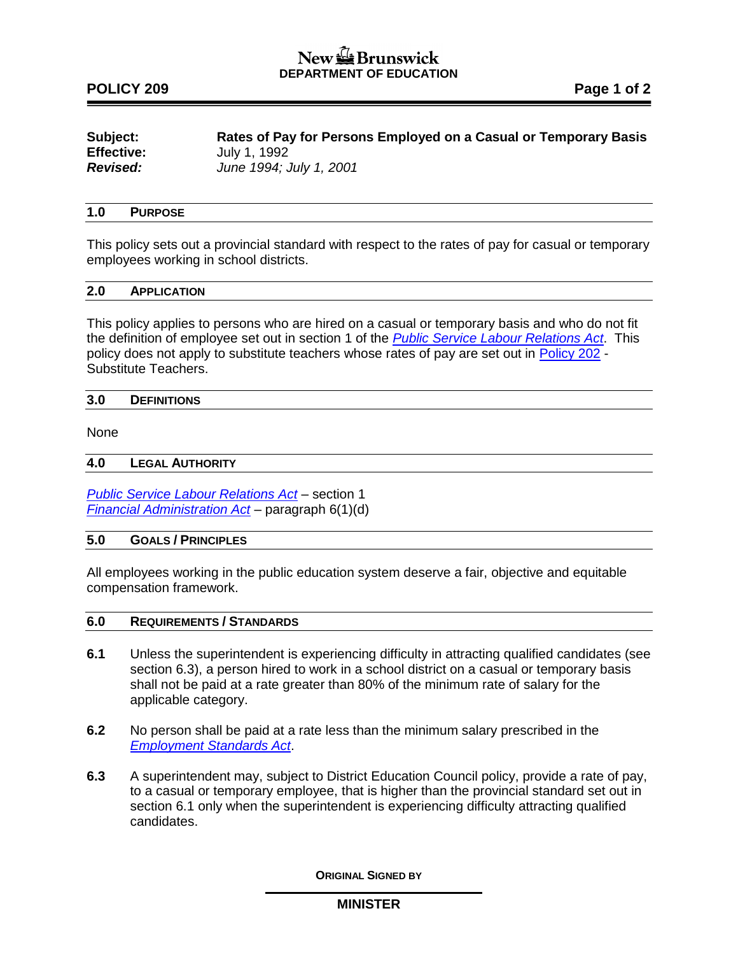## New the Brunswick **DEPARTMENT OF EDUCATION**

## **POLICY 209 Page 1 of 2**

| Subject:          | Rates of Pay for Persons Employed on a Casual or Temporary Basis |
|-------------------|------------------------------------------------------------------|
| <b>Effective:</b> | July 1, 1992                                                     |
| <b>Revised:</b>   | June 1994; July 1, 2001                                          |

## **1.0 PURPOSE**

This policy sets out a provincial standard with respect to the rates of pay for casual or temporary employees working in school districts.

### **2.0 APPLICATION**

This policy applies to persons who are hired on a casual or temporary basis and who do not fit the definition of employee set out in section 1 of the *[Public Service Labour Relations Act](http://laws.gnb.ca/fr/ShowPdf/cs/P-25.pdf)*. This policy does not apply to substitute teachers whose rates of pay are set out in [Policy 202](http://www2.gnb.ca/content/dam/gnb/Departments/ed/pdf/K12/policies-politiques/e/202A.pdf) - Substitute Teachers.

#### **3.0 DEFINITIONS**

None

#### **4.0 LEGAL AUTHORITY**

*[Public Service Labour Relations Act](http://laws.gnb.ca/fr/ShowPdf/cs/P-25.pdf) –* section 1 *[Financial Administration Act](http://laws.gnb.ca/en/ShowPdf/cs/2011-c.160.pdf) –* paragraph 6(1)(d)

## **5.0 GOALS / PRINCIPLES**

All employees working in the public education system deserve a fair, objective and equitable compensation framework.

#### **6.0 REQUIREMENTS / STANDARDS**

- **6.1** Unless the superintendent is experiencing difficulty in attracting qualified candidates (see section 6.3), a person hired to work in a school district on a casual or temporary basis shall not be paid at a rate greater than 80% of the minimum rate of salary for the applicable category.
- **6.2** No person shall be paid at a rate less than the minimum salary prescribed in the *[Employment Standards Act](http://laws.gnb.ca/en/ShowPdf/cs/E-7.2.pdf)*.
- **6.3** A superintendent may, subject to District Education Council policy, provide a rate of pay, to a casual or temporary employee, that is higher than the provincial standard set out in section 6.1 only when the superintendent is experiencing difficulty attracting qualified candidates.

**ORIGINAL SIGNED BY**

**MINISTER**